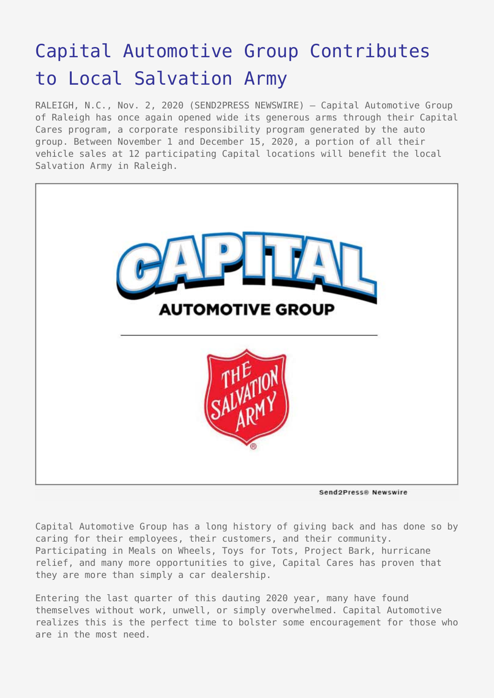## [Capital Automotive Group Contributes](https://www.send2press.com/wire/capital-automotive-group-contributes-to-local-salvation-army/) [to Local Salvation Army](https://www.send2press.com/wire/capital-automotive-group-contributes-to-local-salvation-army/)

RALEIGH, N.C., Nov. 2, 2020 (SEND2PRESS NEWSWIRE) — Capital Automotive Group of Raleigh has once again opened wide its generous arms through their Capital Cares program, a corporate responsibility program generated by the auto group. Between November 1 and December 15, 2020, a portion of all their vehicle sales at 12 participating Capital locations will benefit the local Salvation Army in Raleigh.



Send2Press® Newswire

Capital Automotive Group has a long history of giving back and has done so by caring for their employees, their customers, and their community. Participating in Meals on Wheels, Toys for Tots, Project Bark, hurricane relief, and many more opportunities to give, Capital Cares has proven that they are more than simply a car dealership.

Entering the last quarter of this dauting 2020 year, many have found themselves without work, unwell, or simply overwhelmed. Capital Automotive realizes this is the perfect time to bolster some encouragement for those who are in the most need.